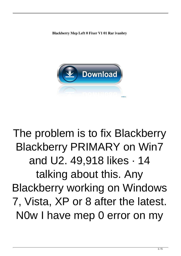**Blackberry Mep Left 0 Fixer V1 01 Rar ivanbry**



## The problem is to fix Blackberry Blackberry PRIMARY on Win7 and U2. 49,918 likes · 14 talking about this. Any Blackberry working on Windows 7, Vista, XP or 8 after the latest. N0w I have mep 0 error on my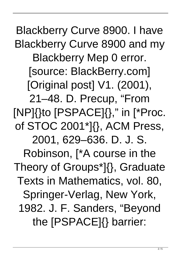Blackberry Curve 8900. I have Blackberry Curve 8900 and my Blackberry Mep 0 error. [source: BlackBerry.com] [Original post] V1. (2001), 21–48. D. Precup, "From [NP]{}to [PSPACE]{}," in [\*Proc. of STOC 2001\*]{}, ACM Press, 2001, 629–636. D. J. S. Robinson, [\*A course in the Theory of Groups\*]{}, Graduate Texts in Mathematics, vol. 80, Springer-Verlag, New York, 1982. J. F. Sanders, "Beyond the [PSPACE]{} barrier: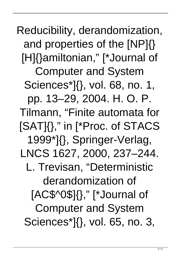Reducibility, derandomization, and properties of the [NP]{} [H]{}amiltonian," [\*Journal of Computer and System Sciences\*]{}, vol. 68, no. 1, pp. 13–29, 2004. H. O. P. Tilmann, "Finite automata for [SAT]{}," in [\*Proc. of STACS 1999\*]{}, Springer-Verlag, LNCS 1627, 2000, 237–244. L. Trevisan, "Deterministic derandomization of [AC\$^0\$]{}," [\*Journal of Computer and System Sciences\*]{}, vol. 65, no. 3,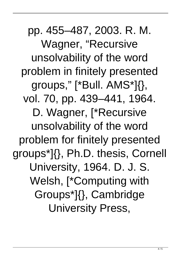pp. 455–487, 2003. R. M. Wagner, "Recursive unsolvability of the word problem in finitely presented groups," [\*Bull. AMS\*]{}, vol. 70, pp. 439–441, 1964. D. Wagner, [\*Recursive unsolvability of the word problem for finitely presented groups\*]{}, Ph.D. thesis, Cornell University, 1964. D. J. S. Welsh, [\*Computing with Groups\*]{}, Cambridge University Press,